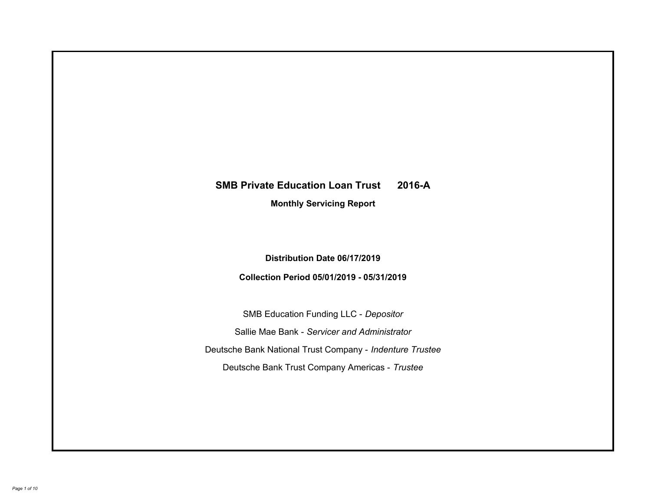# **SMB Private Education Loan Trust 2016-A Monthly Servicing Report**

# **Distribution Date 06/17/2019**

# **Collection Period 05/01/2019 - 05/31/2019**

SMB Education Funding LLC - *Depositor* Sallie Mae Bank - *Servicer and Administrator* Deutsche Bank National Trust Company - *Indenture Trustee* Deutsche Bank Trust Company Americas - *Trustee*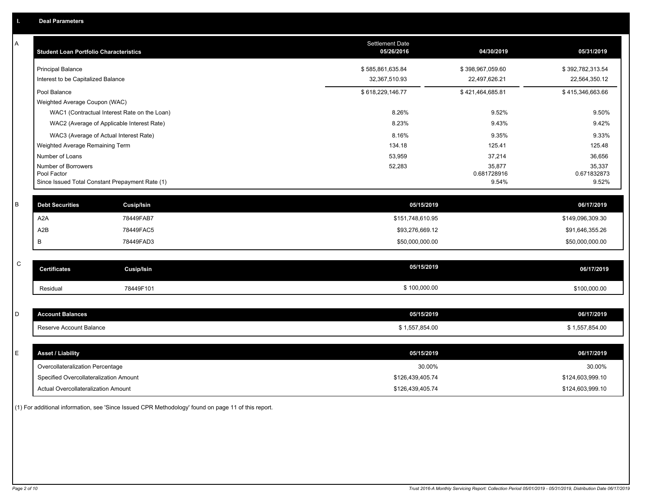| Α           | <b>Student Loan Portfolio Characteristics</b>                  |                                              | <b>Settlement Date</b><br>05/26/2016 | 04/30/2019           | 05/31/2019           |
|-------------|----------------------------------------------------------------|----------------------------------------------|--------------------------------------|----------------------|----------------------|
|             | Principal Balance                                              |                                              | \$585,861,635.84                     | \$398,967,059.60     | \$392,782,313.54     |
|             | Interest to be Capitalized Balance                             |                                              | 32,367,510.93                        | 22,497,626.21        | 22,564,350.12        |
|             | Pool Balance                                                   |                                              | \$618,229,146.77                     | \$421,464,685.81     | \$415,346,663.66     |
|             | Weighted Average Coupon (WAC)                                  |                                              |                                      |                      |                      |
|             |                                                                | WAC1 (Contractual Interest Rate on the Loan) | 8.26%                                | 9.52%                | 9.50%                |
|             |                                                                | WAC2 (Average of Applicable Interest Rate)   | 8.23%                                | 9.43%                | 9.42%                |
|             | WAC3 (Average of Actual Interest Rate)                         |                                              | 8.16%                                | 9.35%                | 9.33%                |
|             | Weighted Average Remaining Term                                |                                              | 134.18                               | 125.41               | 125.48               |
|             | Number of Loans                                                |                                              | 53,959                               | 37,214               | 36,656               |
|             | Number of Borrowers                                            |                                              | 52,283                               | 35,877               | 35,337               |
|             | Pool Factor<br>Since Issued Total Constant Prepayment Rate (1) |                                              |                                      | 0.681728916<br>9.54% | 0.671832873<br>9.52% |
|             |                                                                |                                              |                                      |                      |                      |
| B           | <b>Debt Securities</b>                                         | <b>Cusip/Isin</b>                            | 05/15/2019                           |                      | 06/17/2019           |
|             | A <sub>2</sub> A                                               | 78449FAB7                                    | \$151,748,610.95                     |                      | \$149,096,309.30     |
|             | A <sub>2</sub> B                                               | 78449FAC5                                    | \$93,276,669.12                      |                      | \$91,646,355.26      |
|             | В                                                              | 78449FAD3                                    | \$50,000,000.00                      |                      | \$50,000,000.00      |
|             |                                                                |                                              |                                      |                      |                      |
| $\mathsf C$ | <b>Certificates</b>                                            | <b>Cusip/Isin</b>                            | 05/15/2019                           |                      | 06/17/2019           |
|             | Residual                                                       | 78449F101                                    | \$100,000.00                         |                      | \$100,000.00         |
|             |                                                                |                                              |                                      |                      |                      |
| D           | <b>Account Balances</b>                                        |                                              | 05/15/2019                           |                      | 06/17/2019           |
|             | Reserve Account Balance                                        |                                              | \$1,557,854.00                       |                      | \$1,557,854.00       |
|             |                                                                |                                              |                                      |                      |                      |
| Е           | <b>Asset / Liability</b>                                       |                                              | 05/15/2019                           |                      | 06/17/2019           |
|             | Overcollateralization Percentage                               |                                              | 30.00%                               |                      | 30.00%               |
|             | Specified Overcollateralization Amount                         |                                              | \$126,439,405.74                     |                      | \$124,603,999.10     |
|             | Actual Overcollateralization Amount                            |                                              | \$126,439,405.74                     |                      | \$124,603,999.10     |

(1) For additional information, see 'Since Issued CPR Methodology' found on page 11 of this report.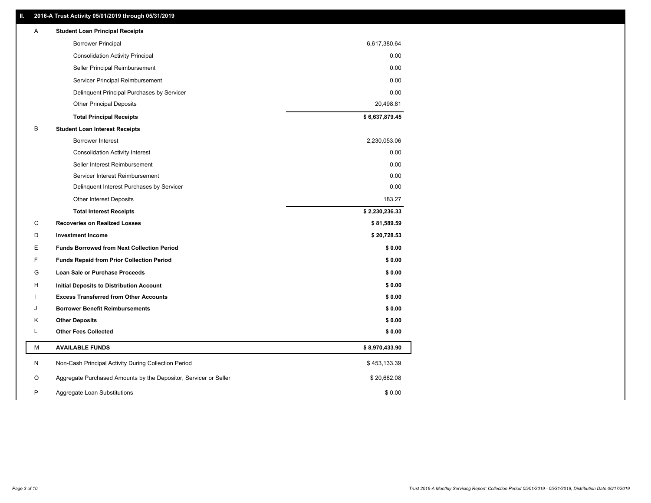# **II. 2016-A Trust Activity 05/01/2019 through 05/31/2019**

| Α | <b>Student Loan Principal Receipts</b>                           |                |  |
|---|------------------------------------------------------------------|----------------|--|
|   | <b>Borrower Principal</b>                                        | 6,617,380.64   |  |
|   | <b>Consolidation Activity Principal</b>                          | 0.00           |  |
|   | Seller Principal Reimbursement                                   | 0.00           |  |
|   | Servicer Principal Reimbursement                                 | 0.00           |  |
|   | Delinquent Principal Purchases by Servicer                       | 0.00           |  |
|   | <b>Other Principal Deposits</b>                                  | 20,498.81      |  |
|   | <b>Total Principal Receipts</b>                                  | \$6,637,879.45 |  |
| В | <b>Student Loan Interest Receipts</b>                            |                |  |
|   | <b>Borrower Interest</b>                                         | 2,230,053.06   |  |
|   | <b>Consolidation Activity Interest</b>                           | 0.00           |  |
|   | Seller Interest Reimbursement                                    | 0.00           |  |
|   | Servicer Interest Reimbursement                                  | 0.00           |  |
|   | Delinquent Interest Purchases by Servicer                        | 0.00           |  |
|   | <b>Other Interest Deposits</b>                                   | 183.27         |  |
|   | <b>Total Interest Receipts</b>                                   | \$2,230,236.33 |  |
| С | <b>Recoveries on Realized Losses</b>                             | \$81,589.59    |  |
| D | <b>Investment Income</b>                                         | \$20,728.53    |  |
| Е | <b>Funds Borrowed from Next Collection Period</b>                | \$0.00         |  |
| F | <b>Funds Repaid from Prior Collection Period</b>                 | \$0.00         |  |
| G | <b>Loan Sale or Purchase Proceeds</b>                            | \$0.00         |  |
| н | Initial Deposits to Distribution Account                         | \$0.00         |  |
|   | <b>Excess Transferred from Other Accounts</b>                    | \$0.00         |  |
| J | <b>Borrower Benefit Reimbursements</b>                           | \$0.00         |  |
| Κ | <b>Other Deposits</b>                                            | \$0.00         |  |
| L | <b>Other Fees Collected</b>                                      | \$0.00         |  |
| М | <b>AVAILABLE FUNDS</b>                                           | \$8,970,433.90 |  |
| N | Non-Cash Principal Activity During Collection Period             | \$453,133.39   |  |
| O | Aggregate Purchased Amounts by the Depositor, Servicer or Seller | \$20,682.08    |  |
| P | Aggregate Loan Substitutions                                     | \$0.00         |  |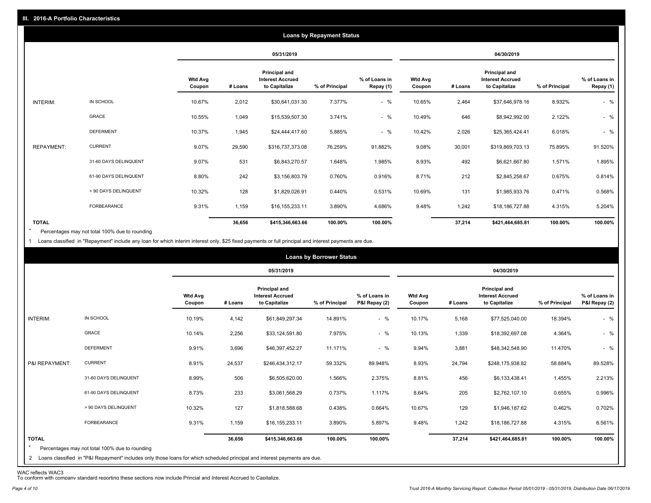|                   |                       |                          |         |                                                           | <b>Loans by Repayment Status</b> |                            |                          |         |                                                                  |                |                            |
|-------------------|-----------------------|--------------------------|---------|-----------------------------------------------------------|----------------------------------|----------------------------|--------------------------|---------|------------------------------------------------------------------|----------------|----------------------------|
|                   |                       |                          |         | 05/31/2019                                                |                                  |                            |                          |         | 04/30/2019                                                       |                |                            |
|                   |                       | <b>Wtd Avg</b><br>Coupon | # Loans | Principal and<br><b>Interest Accrued</b><br>to Capitalize | % of Principal                   | % of Loans in<br>Repay (1) | <b>Wtd Avg</b><br>Coupon | # Loans | <b>Principal and</b><br><b>Interest Accrued</b><br>to Capitalize | % of Principal | % of Loans in<br>Repay (1) |
| INTERIM:          | IN SCHOOL             | 10.67%                   | 2,012   | \$30,641,031.30                                           | 7.377%                           | $-$ %                      | 10.65%                   | 2,464   | \$37,646,978.16                                                  | 8.932%         | $-$ %                      |
|                   | GRACE                 | 10.55%                   | 1,049   | \$15,539,507.30                                           | 3.741%                           | $-$ %                      | 10.49%                   | 646     | \$8,942,992.00                                                   | 2.122%         | $-$ %                      |
|                   | <b>DEFERMENT</b>      | 10.37%                   | 1,945   | \$24,444,417.60                                           | 5.885%                           | $-$ %                      | 10.42%                   | 2,026   | \$25,365,424.41                                                  | 6.018%         | $-$ %                      |
| <b>REPAYMENT:</b> | <b>CURRENT</b>        | 9.07%                    | 29,590  | \$316,737,373.08                                          | 76.259%                          | 91.882%                    | 9.08%                    | 30,001  | \$319,869,703.13                                                 | 75.895%        | 91.520%                    |
|                   | 31-60 DAYS DELINQUENT | 9.07%                    | 531     | \$6,843,270.57                                            | 1.648%                           | 1.985%                     | 8.93%                    | 492     | \$6,621,667.80                                                   | 1.571%         | 1.895%                     |
|                   | 61-90 DAYS DELINQUENT | 8.80%                    | 242     | \$3,156,803.79                                            | 0.760%                           | 0.916%                     | 8.71%                    | 212     | \$2,845,258.67                                                   | 0.675%         | 0.814%                     |
|                   | > 90 DAYS DELINQUENT  | 10.32%                   | 128     | \$1,829,026.91                                            | 0.440%                           | 0.531%                     | 10.69%                   | 131     | \$1,985,933.76                                                   | 0.471%         | 0.568%                     |
|                   | <b>FORBEARANCE</b>    | 9.31%                    | 1,159   | \$16,155,233.11                                           | 3.890%                           | 4.686%                     | 9.48%                    | 1,242   | \$18,186,727.88                                                  | 4.315%         | 5.204%                     |
| <b>TOTAL</b>      |                       |                          | 36,656  | \$415,346,663.66                                          | 100.00%                          | 100.00%                    |                          | 37,214  | \$421,464,685.81                                                 | 100.00%        | 100.00%                    |

Percentages may not total 100% due to rounding  $\star$ 

1 Loans classified in "Repayment" include any loan for which interim interest only, \$25 fixed payments or full principal and interest payments are due.

|                         |                                                                                                                              |                          |         |                                                                  | <b>Loans by Borrower Status</b> |                                |                          |         |                                                                  |                |                                |
|-------------------------|------------------------------------------------------------------------------------------------------------------------------|--------------------------|---------|------------------------------------------------------------------|---------------------------------|--------------------------------|--------------------------|---------|------------------------------------------------------------------|----------------|--------------------------------|
|                         |                                                                                                                              |                          |         | 05/31/2019                                                       |                                 |                                |                          |         | 04/30/2019                                                       |                |                                |
|                         |                                                                                                                              | <b>Wtd Avg</b><br>Coupon | # Loans | <b>Principal and</b><br><b>Interest Accrued</b><br>to Capitalize | % of Principal                  | % of Loans in<br>P&I Repay (2) | <b>Wtd Avg</b><br>Coupon | # Loans | <b>Principal and</b><br><b>Interest Accrued</b><br>to Capitalize | % of Principal | % of Loans in<br>P&I Repay (2) |
| INTERIM:                | IN SCHOOL                                                                                                                    | 10.19%                   | 4,142   | \$61,849,297.34                                                  | 14.891%                         | $-$ %                          | 10.17%                   | 5,168   | \$77,525,040.00                                                  | 18.394%        | $-$ %                          |
|                         | <b>GRACE</b>                                                                                                                 | 10.14%                   | 2,256   | \$33,124,591.80                                                  | 7.975%                          | $-$ %                          | 10.13%                   | 1,339   | \$18,392,697.08                                                  | 4.364%         | $-$ %                          |
|                         | <b>DEFERMENT</b>                                                                                                             | 9.91%                    | 3,696   | \$46,397,452.27                                                  | 11.171%                         | $-$ %                          | 9.94%                    | 3,881   | \$48,342,548.90                                                  | 11.470%        | $-$ %                          |
| P&I REPAYMENT:          | <b>CURRENT</b>                                                                                                               | 8.91%                    | 24,537  | \$246,434,312.17                                                 | 59.332%                         | 89.948%                        | 8.93%                    | 24,794  | \$248,175,938.82                                                 | 58.884%        | 89.528%                        |
|                         | 31-60 DAYS DELINQUENT                                                                                                        | 8.99%                    | 506     | \$6,505,620.00                                                   | 1.566%                          | 2.375%                         | 8.81%                    | 456     | \$6,133,438.41                                                   | 1.455%         | 2.213%                         |
|                         | 61-90 DAYS DELINQUENT                                                                                                        | 8.73%                    | 233     | \$3,061,568.29                                                   | 0.737%                          | 1.117%                         | 8.64%                    | 205     | \$2,762,107.10                                                   | 0.655%         | 0.996%                         |
|                         | > 90 DAYS DELINQUENT                                                                                                         | 10.32%                   | 127     | \$1,818,588.68                                                   | 0.438%                          | 0.664%                         | 10.67%                   | 129     | \$1,946,187.62                                                   | 0.462%         | 0.702%                         |
|                         | <b>FORBEARANCE</b>                                                                                                           | 9.31%                    | 1,159   | \$16,155,233.11                                                  | 3.890%                          | 5.897%                         | 9.48%                    | 1,242   | \$18,186,727.88                                                  | 4.315%         | 6.561%                         |
| <b>TOTAL</b><br>$\star$ | Percentages may not total 100% due to rounding                                                                               |                          | 36,656  | \$415,346,663.66                                                 | 100.00%                         | 100.00%                        |                          | 37,214  | \$421,464,685.81                                                 | 100.00%        | 100.00%                        |
|                         | 2 Loans classified in "P&I Repayment" includes only those loans for which scheduled principal and interest payments are due. |                          |         |                                                                  |                                 |                                |                          |         |                                                                  |                |                                |

WAC reflects WAC3 To conform with company standard reporting these sections now include Princial and Interest Accrued to Capitalize.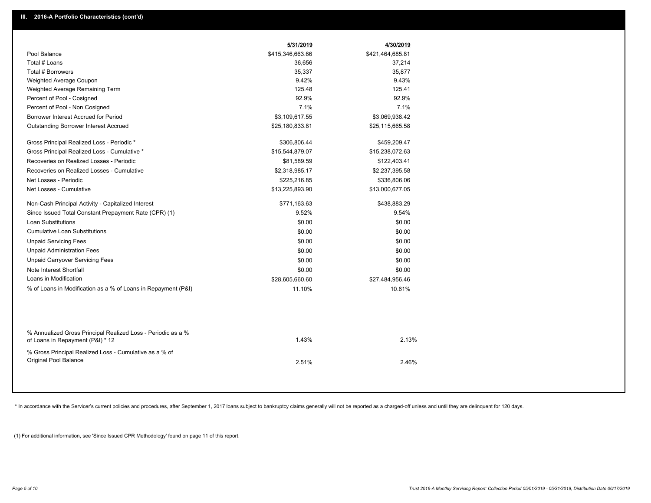|                                                                                                  | 5/31/2019        | 4/30/2019        |
|--------------------------------------------------------------------------------------------------|------------------|------------------|
| Pool Balance                                                                                     | \$415,346,663.66 | \$421,464,685.81 |
| Total # Loans                                                                                    | 36,656           | 37,214           |
| Total # Borrowers                                                                                | 35,337           | 35,877           |
| Weighted Average Coupon                                                                          | 9.42%            | 9.43%            |
| Weighted Average Remaining Term                                                                  | 125.48           | 125.41           |
| Percent of Pool - Cosigned                                                                       | 92.9%            | 92.9%            |
| Percent of Pool - Non Cosigned                                                                   | 7.1%             | 7.1%             |
| Borrower Interest Accrued for Period                                                             | \$3,109,617.55   | \$3,069,938.42   |
| <b>Outstanding Borrower Interest Accrued</b>                                                     | \$25,180,833.81  | \$25,115,665.58  |
| Gross Principal Realized Loss - Periodic *                                                       | \$306,806.44     | \$459,209.47     |
| Gross Principal Realized Loss - Cumulative *                                                     | \$15,544,879.07  | \$15,238,072.63  |
| Recoveries on Realized Losses - Periodic                                                         | \$81,589.59      | \$122,403.41     |
| Recoveries on Realized Losses - Cumulative                                                       | \$2,318,985.17   | \$2,237,395.58   |
| Net Losses - Periodic                                                                            | \$225,216.85     | \$336,806.06     |
| Net Losses - Cumulative                                                                          | \$13,225,893.90  | \$13,000,677.05  |
| Non-Cash Principal Activity - Capitalized Interest                                               | \$771,163.63     | \$438,883.29     |
| Since Issued Total Constant Prepayment Rate (CPR) (1)                                            | 9.52%            | 9.54%            |
| <b>Loan Substitutions</b>                                                                        | \$0.00           | \$0.00           |
| <b>Cumulative Loan Substitutions</b>                                                             | \$0.00           | \$0.00           |
| <b>Unpaid Servicing Fees</b>                                                                     | \$0.00           | \$0.00           |
| <b>Unpaid Administration Fees</b>                                                                | \$0.00           | \$0.00           |
| <b>Unpaid Carryover Servicing Fees</b>                                                           | \$0.00           | \$0.00           |
| Note Interest Shortfall                                                                          | \$0.00           | \$0.00           |
| Loans in Modification                                                                            | \$28,605,660.60  | \$27,484,956.46  |
| % of Loans in Modification as a % of Loans in Repayment (P&I)                                    | 11.10%           | 10.61%           |
|                                                                                                  |                  |                  |
| % Annualized Gross Principal Realized Loss - Periodic as a %<br>of Loans in Repayment (P&I) * 12 | 1.43%            | 2.13%            |
| % Gross Principal Realized Loss - Cumulative as a % of<br>Original Pool Balance                  | 2.51%            | 2.46%            |

\* In accordance with the Servicer's current policies and procedures, after September 1, 2017 loans subject to bankruptcy claims generally will not be reported as a charged-off unless and until they are delinquent for 120 d

(1) For additional information, see 'Since Issued CPR Methodology' found on page 11 of this report.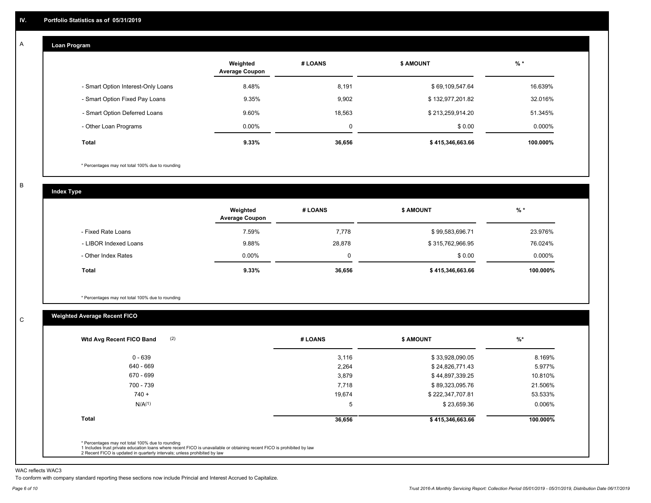#### **Loan Program**  A

|                                    | Weighted<br><b>Average Coupon</b> | # LOANS     | <b>\$ AMOUNT</b> | $%$ *    |
|------------------------------------|-----------------------------------|-------------|------------------|----------|
| - Smart Option Interest-Only Loans | 8.48%                             | 8,191       | \$69,109,547.64  | 16.639%  |
| - Smart Option Fixed Pay Loans     | 9.35%                             | 9,902       | \$132,977,201.82 | 32.016%  |
| - Smart Option Deferred Loans      | 9.60%                             | 18,563      | \$213,259,914.20 | 51.345%  |
| - Other Loan Programs              | $0.00\%$                          | $\mathbf 0$ | \$0.00           | 0.000%   |
| <b>Total</b>                       | 9.33%                             | 36,656      | \$415,346,663.66 | 100.000% |

\* Percentages may not total 100% due to rounding

B

C

**Index Type**

|                       | Weighted<br><b>Average Coupon</b> | # LOANS  | \$ AMOUNT        | $%$ *     |
|-----------------------|-----------------------------------|----------|------------------|-----------|
| - Fixed Rate Loans    | 7.59%                             | 7,778    | \$99,583,696.71  | 23.976%   |
| - LIBOR Indexed Loans | 9.88%                             | 28,878   | \$315,762,966.95 | 76.024%   |
| - Other Index Rates   | $0.00\%$                          | $\Omega$ | \$0.00           | $0.000\%$ |
| Total                 | 9.33%                             | 36,656   | \$415,346,663.66 | 100.000%  |

\* Percentages may not total 100% due to rounding

# **Weighted Average Recent FICO**

| (2)<br>Wtd Avg Recent FICO Band                                                                                                                                                                                                                          | # LOANS | <b>\$ AMOUNT</b> | $%$ *    |
|----------------------------------------------------------------------------------------------------------------------------------------------------------------------------------------------------------------------------------------------------------|---------|------------------|----------|
| $0 - 639$                                                                                                                                                                                                                                                | 3,116   | \$33,928,090.05  | 8.169%   |
| 640 - 669                                                                                                                                                                                                                                                | 2,264   | \$24,826,771.43  | 5.977%   |
| 670 - 699                                                                                                                                                                                                                                                | 3,879   | \$44,897,339.25  | 10.810%  |
| 700 - 739                                                                                                                                                                                                                                                | 7.718   | \$89,323,095.76  | 21.506%  |
| $740 +$                                                                                                                                                                                                                                                  | 19,674  | \$222,347,707.81 | 53.533%  |
| N/A <sup>(1)</sup>                                                                                                                                                                                                                                       | 5       | \$23,659.36      | 0.006%   |
| Total                                                                                                                                                                                                                                                    | 36,656  | \$415,346,663.66 | 100.000% |
| * Percentages may not total 100% due to rounding<br>1 Includes trust private education loans where recent FICO is unavailable or obtaining recent FICO is prohibited by law<br>2 Recent FICO is updated in quarterly intervals; unless prohibited by law |         |                  |          |

WAC reflects WAC3

To conform with company standard reporting these sections now include Princial and Interest Accrued to Capitalize.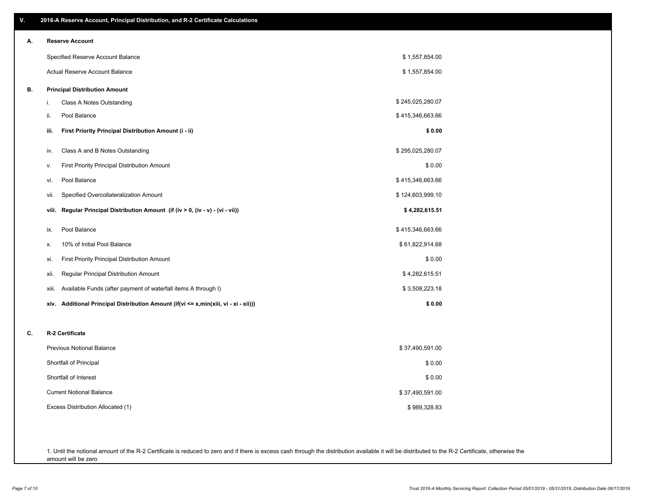| ۷. | 2016-A Reserve Account, Principal Distribution, and R-2 Certificate Calculations     |                  |
|----|--------------------------------------------------------------------------------------|------------------|
| А. | <b>Reserve Account</b>                                                               |                  |
|    | Specified Reserve Account Balance                                                    | \$1,557,854.00   |
|    | Actual Reserve Account Balance                                                       | \$1,557,854.00   |
| В. | <b>Principal Distribution Amount</b>                                                 |                  |
|    | i.<br>Class A Notes Outstanding                                                      | \$245,025,280.07 |
|    | ii.<br>Pool Balance                                                                  | \$415,346,663.66 |
|    | First Priority Principal Distribution Amount (i - ii)<br>iii.                        | \$0.00           |
|    | Class A and B Notes Outstanding<br>iv.                                               | \$295,025,280.07 |
|    | First Priority Principal Distribution Amount<br>ν.                                   | \$0.00           |
|    | Pool Balance<br>vi.                                                                  | \$415,346,663.66 |
|    | Specified Overcollateralization Amount<br>vii.                                       | \$124,603,999.10 |
|    | Regular Principal Distribution Amount (if (iv > 0, (iv - v) - (vi - vii))<br>viii.   | \$4,282,615.51   |
|    | Pool Balance<br>ix.                                                                  | \$415,346,663.66 |
|    | 10% of Initial Pool Balance<br>Х.                                                    | \$61,822,914.68  |
|    | First Priority Principal Distribution Amount<br>xi.                                  | \$0.00           |
|    | Regular Principal Distribution Amount<br>xii.                                        | \$4,282,615.51   |
|    | Available Funds (after payment of waterfall items A through I)<br>xiii.              | \$3,508,223.18   |
|    | xiv. Additional Principal Distribution Amount (if(vi <= x,min(xiii, vi - xi - xii))) | \$0.00           |
| c. | R-2 Certificate                                                                      |                  |
|    | <b>Previous Notional Balance</b>                                                     | \$37,490,591.00  |
|    | Shortfall of Principal                                                               | \$0.00           |
|    | Shortfall of Interest                                                                | \$0.00           |
|    | <b>Current Notional Balance</b>                                                      | \$37,490,591.00  |
|    | Excess Distribution Allocated (1)                                                    | \$989,328.83     |
|    |                                                                                      |                  |
|    |                                                                                      |                  |

1. Until the notional amount of the R-2 Certificate is reduced to zero and if there is excess cash through the distribution available it will be distributed to the R-2 Certificate, otherwise the amount will be zero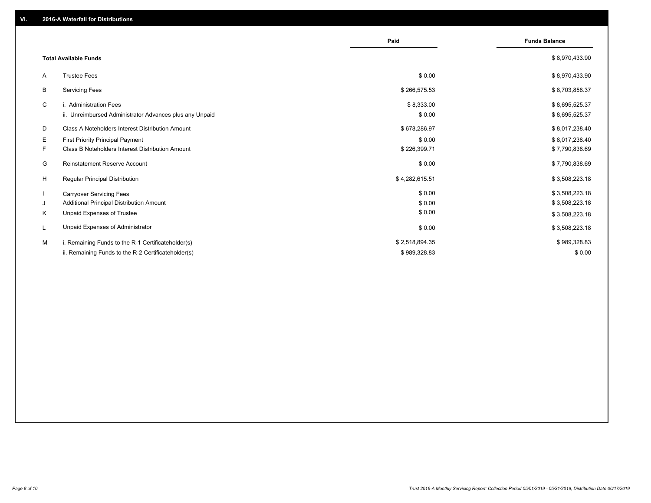|    |                                                         | Paid           | <b>Funds Balance</b> |
|----|---------------------------------------------------------|----------------|----------------------|
|    | <b>Total Available Funds</b>                            |                | \$8,970,433.90       |
| A  | <b>Trustee Fees</b>                                     | \$0.00         | \$8,970,433.90       |
| B  | <b>Servicing Fees</b>                                   | \$266,575.53   | \$8,703,858.37       |
| C  | i. Administration Fees                                  | \$8,333.00     | \$8,695,525.37       |
|    | ii. Unreimbursed Administrator Advances plus any Unpaid | \$0.00         | \$8,695,525.37       |
| D  | Class A Noteholders Interest Distribution Amount        | \$678,286.97   | \$8,017,238.40       |
| E. | <b>First Priority Principal Payment</b>                 | \$0.00         | \$8,017,238.40       |
| F. | <b>Class B Noteholders Interest Distribution Amount</b> | \$226,399.71   | \$7,790,838.69       |
| G  | <b>Reinstatement Reserve Account</b>                    | \$0.00         | \$7,790,838.69       |
| H  | <b>Regular Principal Distribution</b>                   | \$4,282,615.51 | \$3,508,223.18       |
| -1 | <b>Carryover Servicing Fees</b>                         | \$0.00         | \$3,508,223.18       |
| J  | Additional Principal Distribution Amount                | \$0.00         | \$3,508,223.18       |
| Κ  | Unpaid Expenses of Trustee                              | \$0.00         | \$3,508,223.18       |
| L  | Unpaid Expenses of Administrator                        | \$0.00         | \$3,508,223.18       |
| М  | i. Remaining Funds to the R-1 Certificateholder(s)      | \$2,518,894.35 | \$989,328.83         |
|    | ii. Remaining Funds to the R-2 Certificateholder(s)     | \$989,328.83   | \$0.00               |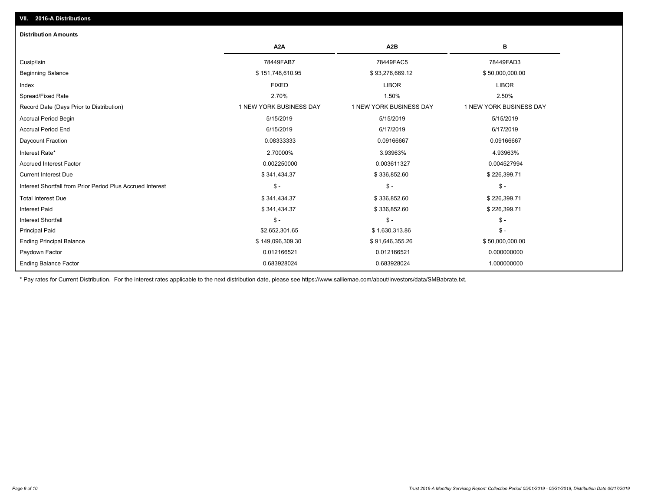| <b>Distribution Amounts</b>                                |                         |                         |                         |
|------------------------------------------------------------|-------------------------|-------------------------|-------------------------|
|                                                            | A <sub>2</sub> A        | A <sub>2</sub> B        | В                       |
| Cusip/Isin                                                 | 78449FAB7               | 78449FAC5               | 78449FAD3               |
| <b>Beginning Balance</b>                                   | \$151,748,610.95        | \$93,276,669.12         | \$50,000,000.00         |
| Index                                                      | <b>FIXED</b>            | <b>LIBOR</b>            | <b>LIBOR</b>            |
| Spread/Fixed Rate                                          | 2.70%                   | 1.50%                   | 2.50%                   |
| Record Date (Days Prior to Distribution)                   | 1 NEW YORK BUSINESS DAY | 1 NEW YORK BUSINESS DAY | 1 NEW YORK BUSINESS DAY |
| <b>Accrual Period Begin</b>                                | 5/15/2019               | 5/15/2019               | 5/15/2019               |
| <b>Accrual Period End</b>                                  | 6/15/2019               | 6/17/2019               | 6/17/2019               |
| Daycount Fraction                                          | 0.08333333              | 0.09166667              | 0.09166667              |
| Interest Rate*                                             | 2.70000%                | 3.93963%                | 4.93963%                |
| Accrued Interest Factor                                    | 0.002250000             | 0.003611327             | 0.004527994             |
| <b>Current Interest Due</b>                                | \$341,434.37            | \$336,852.60            | \$226,399.71            |
| Interest Shortfall from Prior Period Plus Accrued Interest | $$ -$                   | $\frac{1}{2}$           | $\mathcal{S}$ -         |
| <b>Total Interest Due</b>                                  | \$341,434.37            | \$336,852.60            | \$226,399.71            |
| <b>Interest Paid</b>                                       | \$341,434.37            | \$336,852.60            | \$226,399.71            |
| Interest Shortfall                                         | $$ -$                   | $\mathsf{\$}$ -         | $\mathsf{\$}$ -         |
| <b>Principal Paid</b>                                      | \$2,652,301.65          | \$1,630,313.86          | $\mathcal{S}$ -         |
| <b>Ending Principal Balance</b>                            | \$149,096,309.30        | \$91,646,355.26         | \$50,000,000.00         |
| Paydown Factor                                             | 0.012166521             | 0.012166521             | 0.000000000             |
| <b>Ending Balance Factor</b>                               | 0.683928024             | 0.683928024             | 1.000000000             |

\* Pay rates for Current Distribution. For the interest rates applicable to the next distribution date, please see https://www.salliemae.com/about/investors/data/SMBabrate.txt.

**VII. 2016-A Distributions**